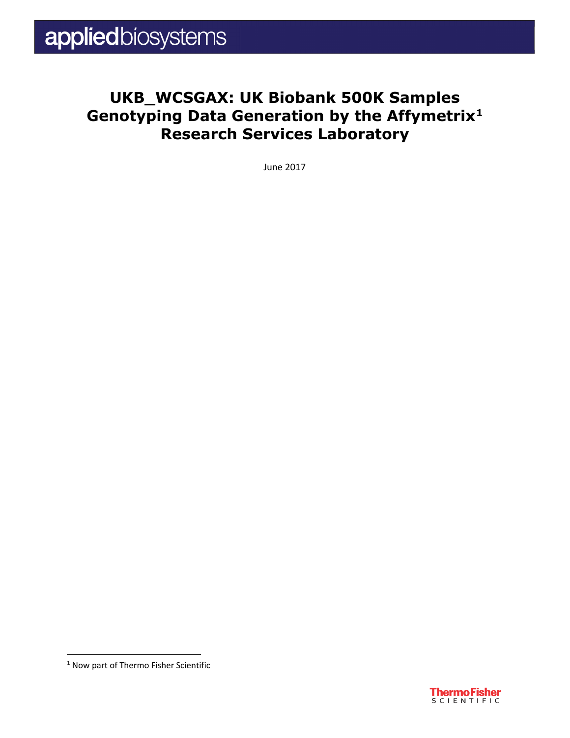### **UKB\_WCSGAX: UK Biobank 500K Samples Genotyping Data Generation by the Affymetrix[1](#page--1-0) Research Services Laboratory**

June 2017



<sup>&</sup>lt;sup>1</sup> Now part of Thermo Fisher Scientific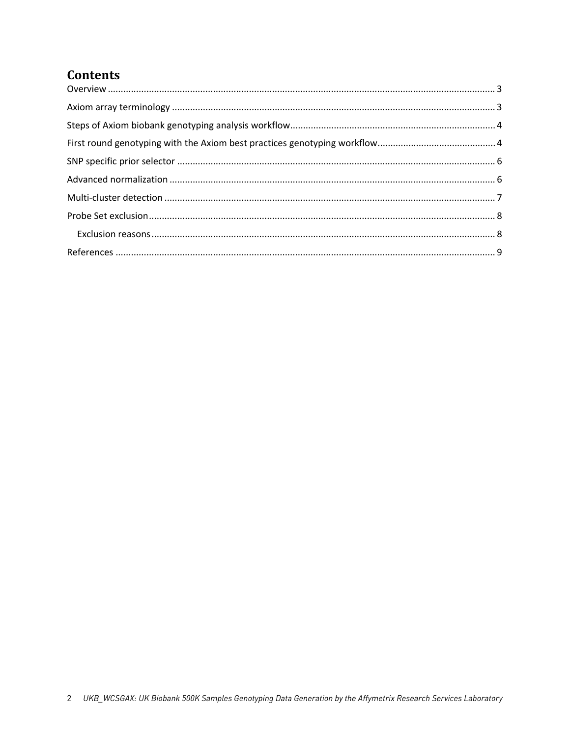#### **Contents**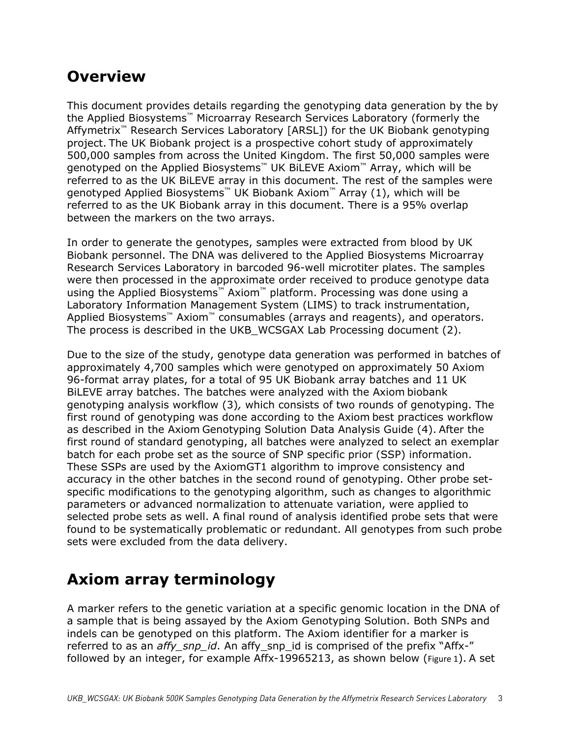#### <span id="page-2-0"></span>**Overview**

This document provides details regarding the genotyping data generation by the by the Applied Biosystems™ Microarray Research Services Laboratory (formerly the Affymetrix™ Research Services Laboratory [ARSL]) for the UK Biobank genotyping project. The UK Biobank project is a prospective cohort study of approximately 500,000 samples from across the United Kingdom. The first 50,000 samples were genotyped on the Applied Biosystems™ UK BiLEVE Axiom™ Array, which will be referred to as the UK BiLEVE array in this document. The rest of the samples were genotyped Applied Biosystems™ UK Biobank Axiom™ Array (1), which will be referred to as the UK Biobank array in this document. There is a 95% overlap between the markers on the two arrays.

In order to generate the genotypes, samples were extracted from blood by UK Biobank personnel. The DNA was delivered to the Applied Biosystems Microarray Research Services Laboratory in barcoded 96-well microtiter plates. The samples were then processed in the approximate order received to produce genotype data using the Applied Biosystems™ Axiom™ platform. Processing was done using a Laboratory Information Management System (LIMS) to track instrumentation, Applied Biosystems™ Axiom™ consumables (arrays and reagents), and operators. The process is described in the UKB\_WCSGAX Lab Processing document (2).

Due to the size of the study, genotype data generation was performed in batches of approximately 4,700 samples which were genotyped on approximately 50 Axiom 96-format array plates, for a total of 95 UK Biobank array batches and 11 UK BiLEVE array batches. The batches were analyzed with the Axiom biobank genotyping analysis workflow (3)*,* which consists of two rounds of genotyping. The first round of genotyping was done according to the Axiom best practices workflow as described in the Axiom Genotyping Solution Data Analysis Guide (4). After the first round of standard genotyping, all batches were analyzed to select an exemplar batch for each probe set as the source of SNP specific prior (SSP) information. These SSPs are used by the AxiomGT1 algorithm to improve consistency and accuracy in the other batches in the second round of genotyping. Other probe setspecific modifications to the genotyping algorithm, such as changes to algorithmic parameters or advanced normalization to attenuate variation, were applied to selected probe sets as well. A final round of analysis identified probe sets that were found to be systematically problematic or redundant. All genotypes from such probe sets were excluded from the data delivery.

### <span id="page-2-1"></span>**Axiom array terminology**

A marker refers to the genetic variation at a specific genomic location in the DNA of a sample that is being assayed by the Axiom Genotyping Solution. Both SNPs and indels can be genotyped on this platform. The Axiom identifier for a marker is referred to as an *affy\_snp\_id*. An affy\_snp\_id is comprised of the prefix "Affx-" followed by an integer, for example Affx-19965213, as shown below ([Figure 1](#page--1-8)). A set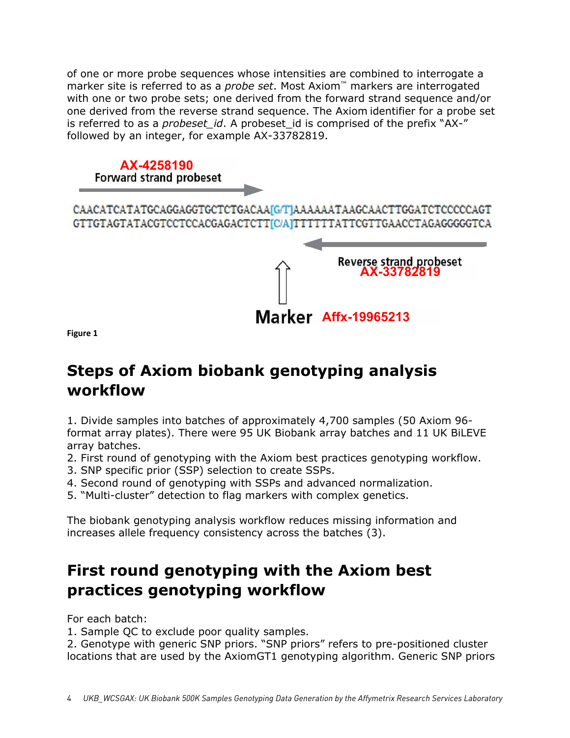of one or more probe sequences whose intensities are combined to interrogate a marker site is referred to as a *probe set*. Most Axiom™ markers are interrogated with one or two probe sets; one derived from the forward strand sequence and/or one derived from the reverse strand sequence. The Axiom identifier for a probe set is referred to as a *probeset id*. A probeset id is comprised of the prefix "AX-" followed by an integer, for example AX-33782819.

# **AX-4258190**<br>Forward strand probeset CAACATCATATGCAGGAGGTGCTCTGACAA[G/T]AAAAAATAAGCAACTTGGATCTCCCCCAGT GTTGTAGTATACGTCCTCCACGAGACTCTT[C/A]TTTTTTATTCGTTGAACCTAGAGGGGGTCA **Reverse strand probeset AX-33782819**

**Affx-19965213**

**Figure 1**

### **Steps of Axiom biobank genotyping analysis workflow**

1. Divide samples into batches of approximately 4,700 samples (50 Axiom 96 format array plates). There were 95 UK Biobank array batches and 11 UK BiLEVE array batches.

- 2. First round of genotyping with the Axiom best practices genotyping workflow.
- 3. SNP specific prior (SSP) selection to create SSPs.
- 4. Second round of genotyping with SSPs and advanced normalization.
- 5. "Multi-cluster" detection to flag markers with complex genetics.

The biobank genotyping analysis workflow reduces missing information and increases allele frequency consistency across the batches (3).

# **First round genotyping with the Axiom best practices genotyping workflow**

For each batch:

1. Sample QC to exclude poor quality samples.

2. Genotype with generic SNP priors. "SNP priors" refers to pre-positioned cluster locations that are used by the AxiomGT1 genotyping algorithm. Generic SNP priors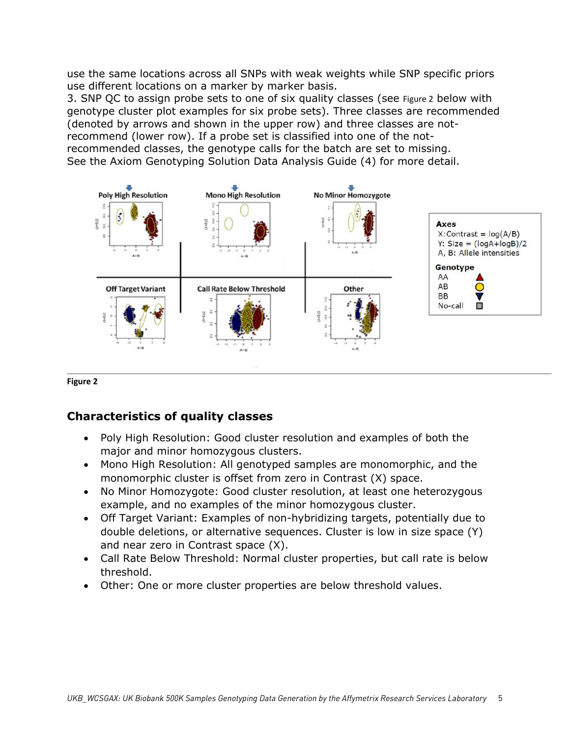use the same locations across all SNPs with weak weights while SNP specific priors use different locations on a marker by marker basis.

3. SNP QC to assign probe sets to one of six quality classes (see [Figure 2](#page--1-9) below with genotype cluster plot examples for six probe sets). Three classes are recommended (denoted by arrows and shown in the upper row) and three classes are notrecommend (lower row). If a probe set is classified into one of the notrecommended classes, the genotype calls for the batch are set to missing. See the Axiom Genotyping Solution Data Analysis Guide (4) for more detail.



#### **Figure 2**

#### **Characteristics of quality classes**

- Poly High Resolution: Good cluster resolution and examples of both the major and minor homozygous clusters.
- Mono High Resolution: All genotyped samples are monomorphic, and the monomorphic cluster is offset from zero in Contrast (X) space.
- No Minor Homozygote: Good cluster resolution, at least one heterozygous example, and no examples of the minor homozygous cluster.
- Off Target Variant: Examples of non-hybridizing targets, potentially due to double deletions, or alternative sequences. Cluster is low in size space (Y) and near zero in Contrast space (X).
- Call Rate Below Threshold: Normal cluster properties, but call rate is below threshold.
- Other: One or more cluster properties are below threshold values.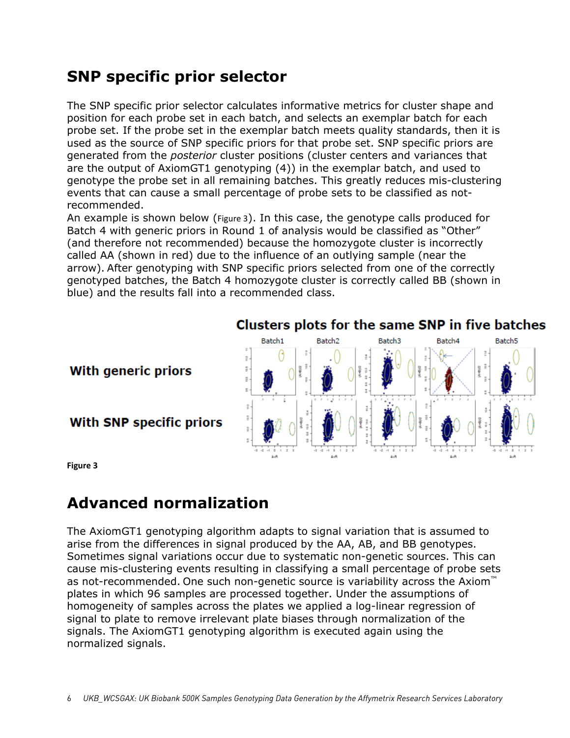### **SNP specific prior selector**

The SNP specific prior selector calculates informative metrics for cluster shape and position for each probe set in each batch, and selects an exemplar batch for each probe set. If the probe set in the exemplar batch meets quality standards, then it is used as the source of SNP specific priors for that probe set. SNP specific priors are generated from the *posterior* cluster positions (cluster centers and variances that are the output of AxiomGT1 genotyping (4)) in the exemplar batch, and used to genotype the probe set in all remaining batches. This greatly reduces mis-clustering events that can cause a small percentage of probe sets to be classified as notrecommended.

An example is shown below ([Figure 3](#page--1-10)). In this case, the genotype calls produced for Batch 4 with generic priors in Round 1 of analysis would be classified as "Other" (and therefore not recommended) because the homozygote cluster is incorrectly called AA (shown in red) due to the influence of an outlying sample (near the arrow). After genotyping with SNP specific priors selected from one of the correctly genotyped batches, the Batch 4 homozygote cluster is correctly called BB (shown in blue) and the results fall into a recommended class.



#### **With generic priors**

With SNP specific priors

**Figure 3**

# **Advanced normalization**

The AxiomGT1 genotyping algorithm adapts to signal variation that is assumed to arise from the differences in signal produced by the AA, AB, and BB genotypes. Sometimes signal variations occur due to systematic non-genetic sources. This can cause mis-clustering events resulting in classifying a small percentage of probe sets as not-recommended. One such non-genetic source is variability across the Axiom™ plates in which 96 samples are processed together. Under the assumptions of homogeneity of samples across the plates we applied a log-linear regression of signal to plate to remove irrelevant plate biases through normalization of the signals. The AxiomGT1 genotyping algorithm is executed again using the normalized signals.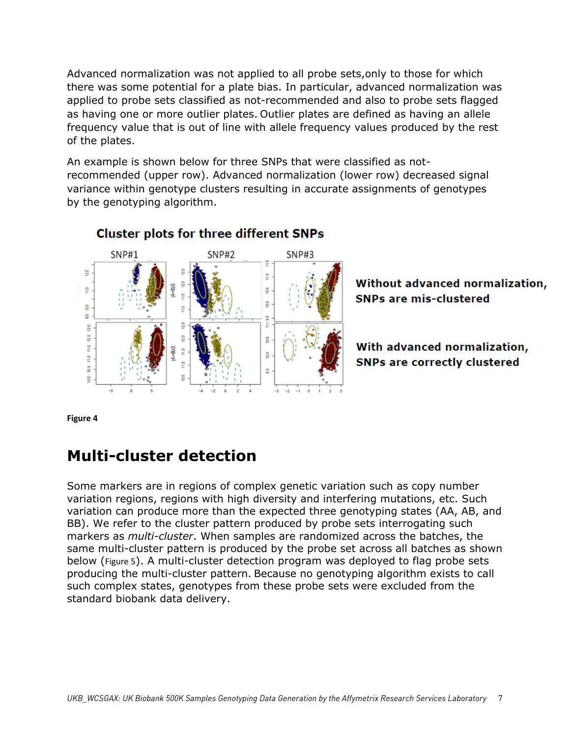Advanced normalization was not applied to all probe sets,only to those for which there was some potential for a plate bias. In particular, advanced normalization was applied to probe sets classified as not-recommended and also to probe sets flagged as having one or more outlier plates. Outlier plates are defined as having an allele frequency value that is out of line with allele frequency values produced by the rest of the plates.

An example is shown below for three SNPs that were classified as notrecommended (upper row). Advanced normalization (lower row) decreased signal variance within genotype clusters resulting in accurate assignments of genotypes by the genotyping algorithm.



#### **Cluster plots for three different SNPs**



With advanced normalization, **SNPs are correctly clustered** 

**Figure 4**

### **Multi-cluster detection**

Some markers are in regions of complex genetic variation such as copy number variation regions, regions with high diversity and interfering mutations, etc. Such variation can produce more than the expected three genotyping states (AA, AB, and BB). We refer to the cluster pattern produced by probe sets interrogating such markers as *multi-cluster*. When samples are randomized across the batches, the same multi-cluster pattern is produced by the probe set across all batches as shown below ([Figure 5](#page--1-11)). A multi-cluster detection program was deployed to flag probe sets producing the multi-cluster pattern. Because no genotyping algorithm exists to call such complex states, genotypes from these probe sets were excluded from the standard biobank data delivery.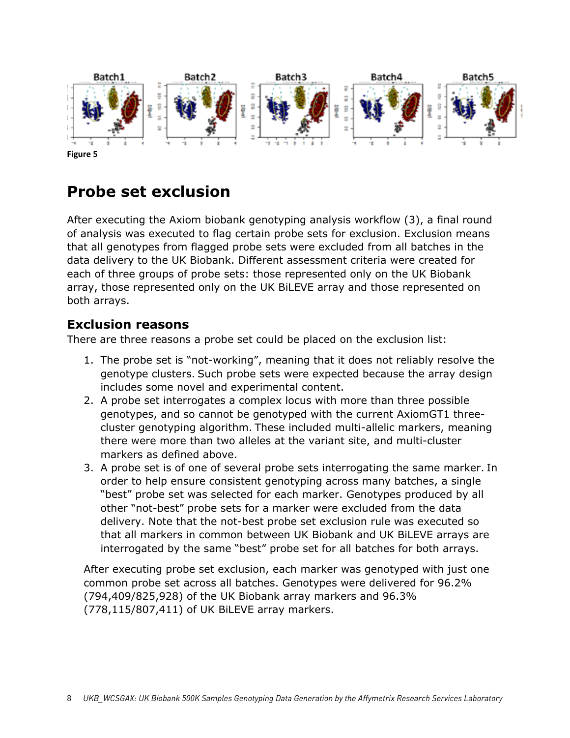

**Figure 5**

### **Probe set exclusion**

After executing the Axiom biobank genotyping analysis workflow (3), a final round of analysis was executed to flag certain probe sets for exclusion. Exclusion means that all genotypes from flagged probe sets were excluded from all batches in the data delivery to the UK Biobank. Different assessment criteria were created for each of three groups of probe sets: those represented only on the UK Biobank array, those represented only on the UK BiLEVE array and those represented on both arrays.

#### **Exclusion reasons**

There are three reasons a probe set could be placed on the exclusion list:

- 1. The probe set is "not-working", meaning that it does not reliably resolve the genotype clusters. Such probe sets were expected because the array design includes some novel and experimental content.
- 2. A probe set interrogates a complex locus with more than three possible genotypes, and so cannot be genotyped with the current AxiomGT1 threecluster genotyping algorithm. These included multi-allelic markers, meaning there were more than two alleles at the variant site, and multi-cluster markers as defined above.
- 3. A probe set is of one of several probe sets interrogating the same marker. In order to help ensure consistent genotyping across many batches, a single "best" probe set was selected for each marker. Genotypes produced by all other "not-best" probe sets for a marker were excluded from the data delivery. Note that the not-best probe set exclusion rule was executed so that all markers in common between UK Biobank and UK BiLEVE arrays are interrogated by the same "best" probe set for all batches for both arrays.

After executing probe set exclusion, each marker was genotyped with just one common probe set across all batches. Genotypes were delivered for 96.2% (794,409/825,928) of the UK Biobank array markers and 96.3% (778,115/807,411) of UK BiLEVE array markers.